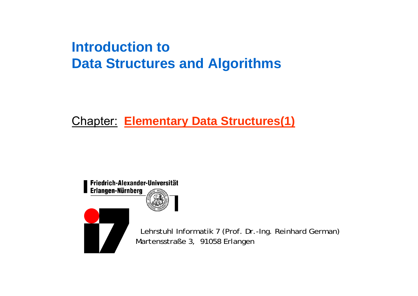# **Introduction toData Structures and Algorithms**

# Chapter: **Elementary Data Structures(1)**





Lehrstuhl Informatik 7 (Prof. Dr.-Ing. Reinhard German) Martensstraße 3, 91058 Erlangen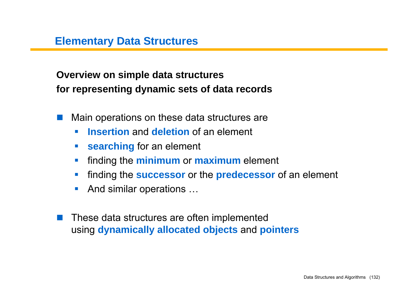**Overview on simple data structures for representing dynamic sets of data records**

- a sa Main operations on these data structures are
	- $\overline{\phantom{a}}$ **Insertion** and **deletion** of an element
	- $\mathcal{L}_{\mathcal{A}}$ **searching** for an element
	- $\mathcal{L}_{\mathcal{A}}$ **Finding the minimum or maximum element**
	- $\mathcal{L}_{\mathcal{A}}$ finding the **successor** or the **predecessor** of an element
	- $\mathcal{L}_{\mathcal{A}}$ And similar operations …
- These data structures are often implemented using **dynamically allocated objects** and **pointers**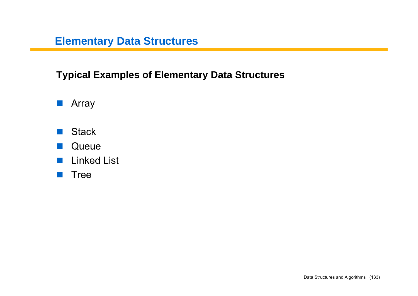## **Typical Examples of Elementary Data Structures**

- **E** Array
- **Stack**
- $\mathbb{R}^n$ **Queue**
- $\mathbb{R}^n$ Linked List
- **n** Tree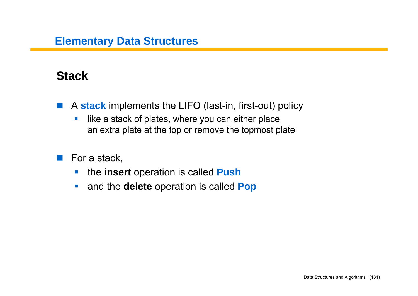# **Stack**

- $\mathcal{L}^{\text{max}}_{\text{max}}$  A **stack** implements the LIFO (last-in, first-out) policy
	- $\overline{\phantom{a}}$  like a stack of plates, where you can either place an extra plate at the top or remove the topmost plate
- $\mathcal{L}(\mathcal{A})$  For a stack,
	- $\mathcal{C}_{\mathcal{A}}$ the **insert** operation is called **Push**
	- $\mathcal{L}_{\mathcal{A}}$ and the **delete** operation is called **Pop**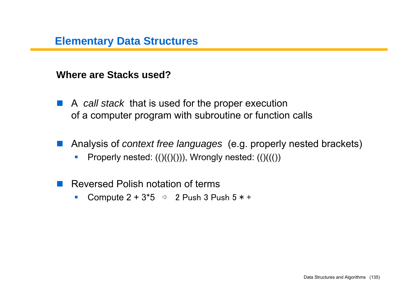#### **Where are Stacks used?**

- A *call stack* that is used for the proper execution of a computer program with subroutine or function calls
- Analysis of *context free languages* (e.g. properly nested brackets)
	- $\mathcal{L}_{\mathcal{A}}$ Properly nested:  $(()(())$ ), Wrongly nested:  $(()((())$
- Reversed Polish notation of terms
	- $\mathcal{L}_{\mathcal{A}}$ Compute  $2 + 3*5 \Rightarrow 2$  Push 3 Push  $5 * +$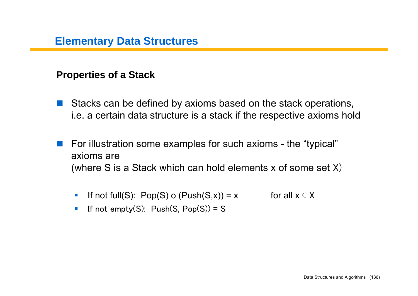#### **Properties of a Stack**

- Stacks can be defined by axioms based on the stack operations, i.e. a certain data structure is a stack if the respective axioms hold
- $\mathcal{L}^{\text{max}}_{\text{max}}$  For illustration some examples for such axioms - the "typical" axioms are(where S is a Stack which can hold elements x of some set X)
	- $\mathcal{C}$ If not full(S): Pop(S) o (Push(S,x)) = x for all  $x \in X$
	- $\blacksquare$ If not empty(S):  $Push(S, Pop(S)) = S$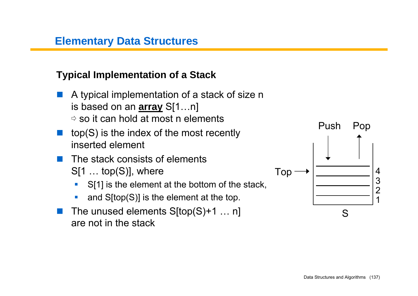#### **Typical Implementation of a Stack**

- A typical implementation of a stack of size n is based on an **array** S[1…n]  $\stackrel{\scriptscriptstyle{\triangle}}{~}$  so it can hold at most n elements
- top(S) is the index of the most recently inserted element
- $\mathcal{L}^{\text{max}}$  The stack consists of elements S[1 … top(S)], where
	- $\blacksquare$ S[1] is the element at the bottom of the stack,
	- $\mathcal{L}_{\mathcal{A}}$ and S[top(S)] is the element at the top.
- The unused elements S[top(S)+1 … n] are not in the stack

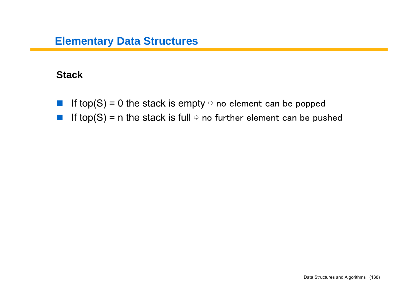#### **Stack**

- $\mathcal{L}^{\text{max}}_{\text{max}}$ If top(S) = 0 the stack is empty  $\Rightarrow$  no element can be popped
- $\label{eq:2} \begin{array}{c} \mathcal{L}_{\text{max}}(\mathcal{A}) \geq 0 \\ \mathcal{L}_{\text{max}}(\mathcal{A}) \geq 0 \end{array}$ If top(S) = n the stack is full  $\Rightarrow$  no further element can be pushed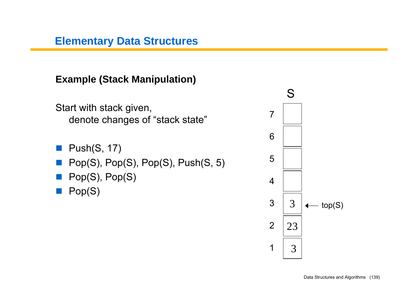**Example (Stack Manipulation)**

Start with stack given, denote changes of "stack state"

- **Push(S, 17)**
- Pop(S), Pop(S), Pop(S), Push(S, 5)
- **Pop(S), Pop(S)**

**Pop(S)** 

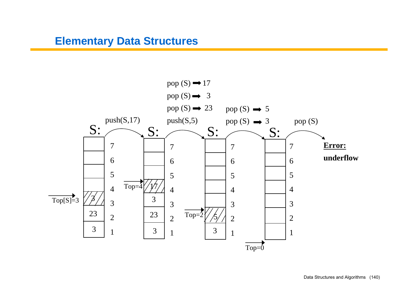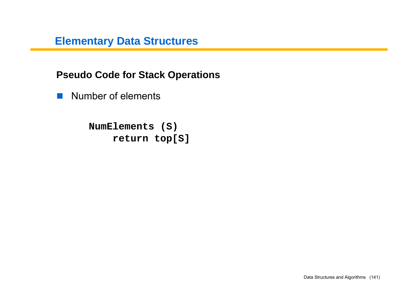**Pseudo Code for Stack Operations**

**Number of elements** 

**NumElements (S) return top[S]**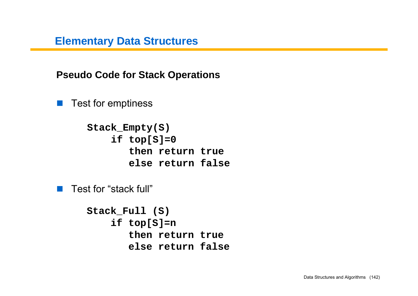**Pseudo Code for Stack Operations**

 $\mathcal{L}(\mathcal{A})$ Test for emptiness

> **Stack\_Empty(S) if top[S]=0 then return true else return false**

■ Test for "stack full"

```
Stack_Full (S)
    if top[S]=n
       then return true
       else return false
```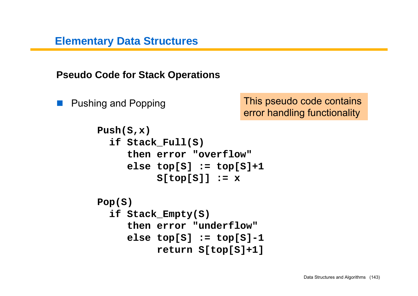**Pseudo Code for Stack Operations**

**Tara** Pushing and Popping This pseudo code contains error handling functionality

```
Push(S,x)
  if Stack_Full(S)
     then error "overflow"else top[S] := top[S]+1
          S[top[S]] := x
Pop(S)
  if Stack_Empty(S)
     then error "underflow"
     else top[S] := top[S]-1
          return S[top[S]+1]
```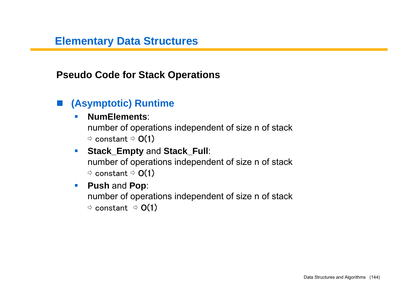**Pseudo Code for Stack Operations**

#### **(Asymptotic) Runtime**

#### **In NumElements**:

number of operations independent of size n of stack  $~\Rightarrow$  constant  $~\Rightarrow$   ${\sf O}(1)$ 

 $\mathcal{L}_{\mathcal{A}}$  **Stack\_Empty** and **Stack\_Full**: number of operations independent of size n of stack  $^\Rightarrow$  constant  $^\Rightarrow$  O(1)

#### $\mathcal{L}_{\mathcal{A}}$ **Push** and **Pop**:

number of operations independent of size n of stack  $^\Rightarrow$  constant  $\Rightarrow$   $\mathsf{O}(1)$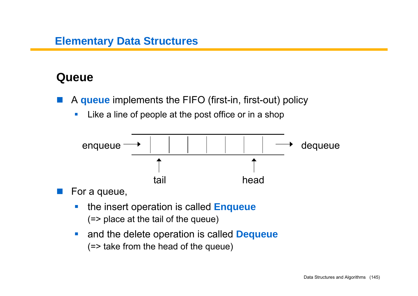# **Queue**

- $\mathcal{L}(\mathcal{A})$  A **queue** implements the FIFO (first-in, first-out) policy
	- $\mathcal{L}$ Like a line of people at the post office or in a shop



For a queue,

- $\mathbb{R}^n$  the insert operation is called **Enqueue** (=> place at the tail of the queue)
- $\mathbb{R}^3$  and the delete operation is called **Dequeue** (=> take from the head of the queue)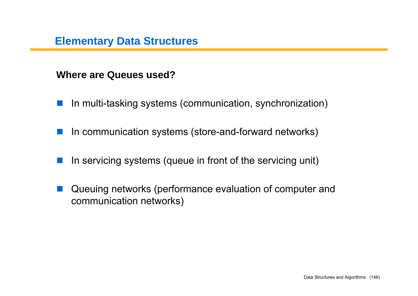#### **Where are Queues used?**

- $\frac{1}{2} \frac{1}{2} \frac{1}{2} \frac{1}{2} \frac{1}{2}$ In multi-tasking systems (communication, synchronization)
- H. In communication systems (store-and-forward networks)
- $\mathbb{R}^n$ In servicing systems (queue in front of the servicing unit)
- $\mathcal{L}^{\text{max}}_{\text{max}}$  Queuing networks (performance evaluation of computer and communication networks)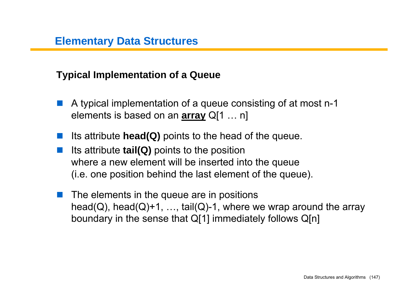#### **Typical Implementation of a Queue**

- A typical implementation of a queue consisting of at most n-1 elements is based on an **array** Q[1 … n]
- Its attribute **head(Q)** points to the head of the queue.
- Its attribute **tail(Q)** points to the position where a new element will be ins erted into the queue (i.e. one position behind the last element of the queue).
- $\blacksquare$  The elements in the queue are in positions head(Q), head(Q)+1, ..., tail(Q)-1, where we wrap around the array boundary in the sense that Q[1] immediately follows Q[n]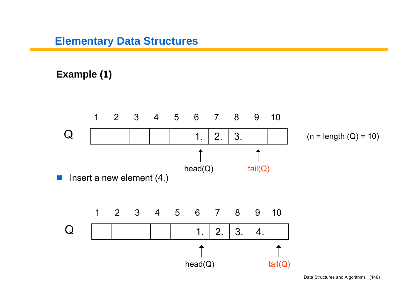#### **Example (1)**

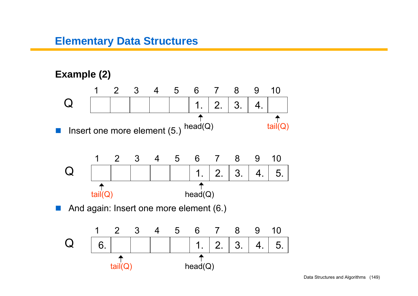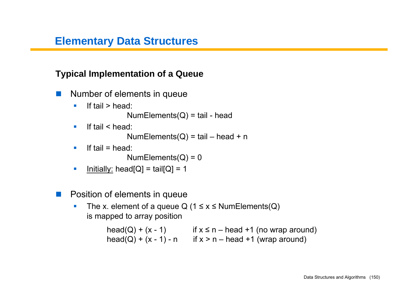#### **Typical Implementation of a Queue**

- Number of elements in queue
	- $\mathcal{L}_{\mathcal{A}}$ If tail > head:

 $NumElements(Q) = tail - head$ 

 $\blacksquare$ If tail < head:

NumElements( $Q$ ) = tail – head + n

 $\mathcal{L}_{\mathcal{A}}$ If tail  $=$  head:

 $NumElements(Q) = 0$ 

- $\blacksquare$ Initially: head[ $Q$ ] = tail[ $Q$ ] = 1
- a sa sa Position of elements in queue
	- $\overline{\mathbb{R}}$ The x. element of a queue Q  $(1 \le x \le$  NumElements $(Q)$ is mapped to array position

head(Q) + (x - 1) if x  $\leq$  n – head +1 (no wrap around) head(Q) +  $(x - 1) - n$  if  $x > n - head +1$  (wrap around)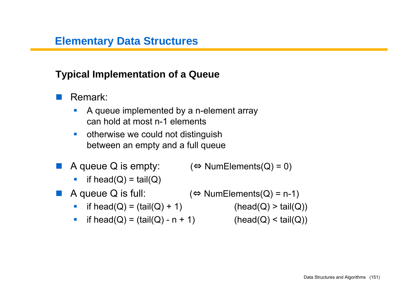#### **Typical Implementation of a Queue**

Remark:

- $\overline{\phantom{a}}$  A queue implemented by a n-element array can hold at most n-1 elements
- $\mathcal{L}_{\mathcal{A}}$  otherwise we could not distinguish between an empty and a full queue
- A queue Q is empty:  $(\Leftrightarrow$  NumElements(Q) = 0)
	- $\mathcal{L}_{\mathcal{A}}$ if head( $Q$ ) = tail( $Q$ )
- A queue Q is full:  $\Leftrightarrow$  NumElements(Q) = n-1)
	- if head(Q) = (tail(Q) + 1) (head(Q) > tail(Q))
	- if head(Q) = (tail(Q) n + 1) (head(Q) < tail(Q))

- 
-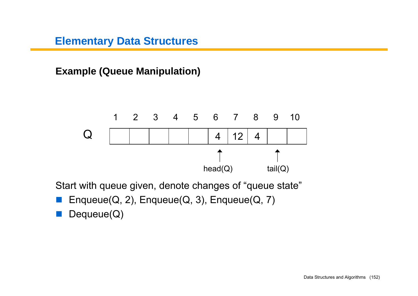**Example (Queue Manipulation)**



Start with queue given, denote changes of "queue state"

- Enqueue(Q, 2), Enqueue(Q, 3), Enqueue(Q, 7)
- **Dequeue(Q)**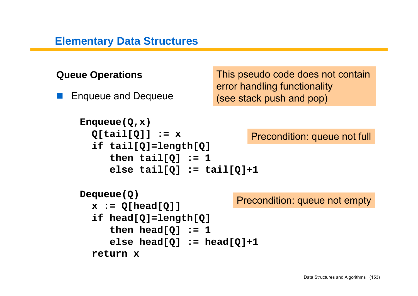```
Queue Operations
   Enqueue and Dequeue
    Enqueue(Q,x)
      Q[tail[Q]] := x
      if tail[Q]=length[Q]
          then tail[Q] := 1
          else tail[Q] := tail[Q]+1
    Dequeue(Q)
      x := Q[head[Q]]
      if head[Q]=length[Q]
          then head[Q] := 1
          else head[Q] := head[Q]+1
      return xPrecondition: queue not full
                                  Precondition: queue not empty
                              This pseudo code does not contain
                              error handling functionality
                              (see stack push and pop)
```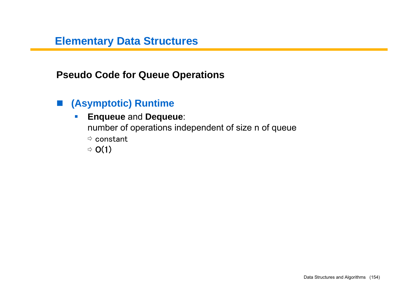**Pseudo Code for Queue Operations**

# **(Asymptotic) Runtime**

 $\mathcal{C}$  **Enqueue** and **Dequeue**: number of operations independent of size n of queue  $^\rightthreetimes$  constant  $\Rightarrow$  O(1)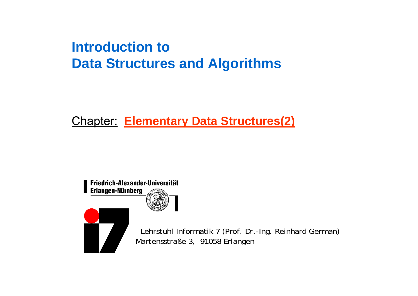# **Introduction toData Structures and Algorithms**

# Chapter: **Elementary Data Structures(2)**

Friedrich-Alexander-Universität Erlangen-Nürnberg



Lehrstuhl Informatik 7 (Prof. Dr.-Ing. Reinhard German) Martensstraße 3, 91058 Erlangen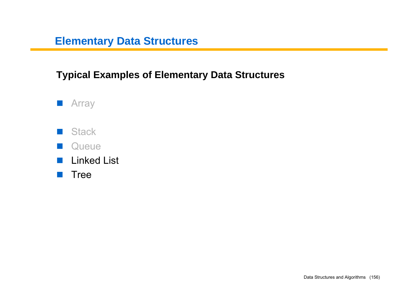#### **Typical Examples of Elementary Data Structures**



- **N** Stack
- $\mathbb{R}^n$ **Queue**
- $\mathcal{L}^{\text{max}}_{\text{max}}$ Linked List
- **n** Tree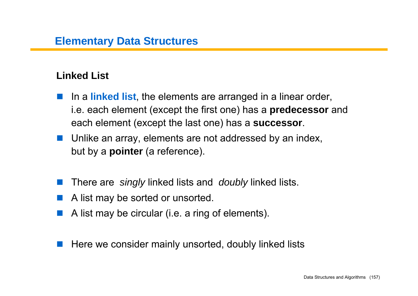#### **Linked List**

- $\mathcal{L}(\mathcal{A})$  In a **linked list**, the elements are arranged in a linear order, i.e. each element (except the first one) has a **predecessor** and each element (except the last one) has a **successor**.
- **Unlike an array, elements are not addressed by an index,** but by a **pointer** (a reference).
- $\mathcal{L}^{\text{max}}$ There are *singly* linked lists and *doubly* linked lists.
- **I** A list may be sorted or unsorted.
- A list may be circular (i.e. a ring of elements).
- **I** Here we consider mainly unsorted, doubly linked lists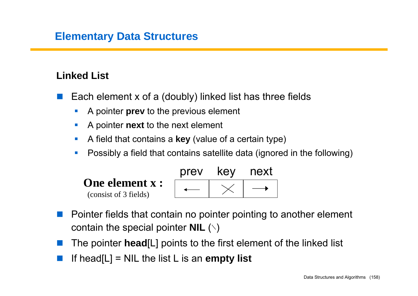#### **Linked List**

- $\mathcal{L}(\mathcal{A})$  Each element x of a (doubly) linked list has three fields
	- $\mathcal{L}_{\mathcal{A}}$ A pointer **prev** to the previous element
	- $\mathcal{C}$ A pointer **next** to the next element
	- M. A field that contains a **key** (value of a certain type)
	- $\mathcal{C}$ Possibly a field that contains satellite data (ignored in the following)



- $\mathcal{L}^{\text{max}}$  Pointer fields that contain no pointer pointing to another element contain the special pointer **NIL** (∖)
- The pointer **head**[L] points to the first element of the linked list
- If head[L] = NIL the list L is an **empty list**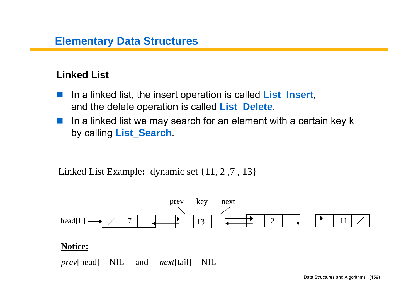#### **Linked List**

- $\mathcal{L}^{\text{max}}_{\text{max}}$  In a linked list, the insert operation is called **List\_Insert**, and the delete operation is called **List\_Delete**.
- $\mathcal{L}^{\text{max}}$  In a linked list we may search for an element with a certain key k by calling **List\_Search**.

Linked List Example**:** dynamic set {11, 2 ,7 , 13}



#### **Notice:**

*prev*[head] = NIL and *next*[tail] = NIL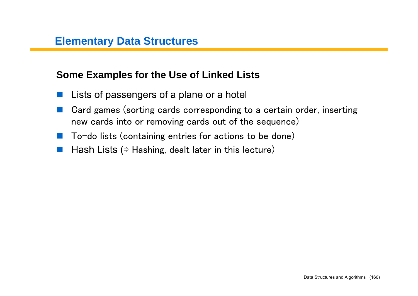#### **Some Examples for the Use of Linked Lists**

- Lists of passengers of a plane or a hotel
- Card games (sorting cards corresponding to a certain order, inserting new cards into or removing cards out of the sequence)
- $\mathcal{L}(\mathcal{A})$ To-do lists (containing entries for actions to be done)
- **Tara** Hash Lists ( $\Leftrightarrow$  Hashing, dealt later in this lecture)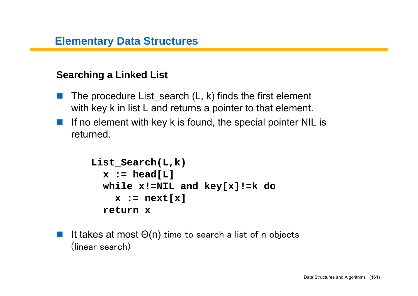#### **Searching a Linked List**

- $\mathcal{L}^{\text{max}}$ The procedure List search  $(L, k)$  finds the first element with key k in list L and returns a pointer to that element.
- **Tara**  If no element with key k is found, the special pointer NIL is returned.

```
List_Search(L,k)
  x := head[LI]while x!=NIL and key[x]!=k do
    x := next[x]
  return x
```
 $\mathcal{L}^{\text{max}}$  It takes at most Θ(n) time to search a list of n objects (linear search)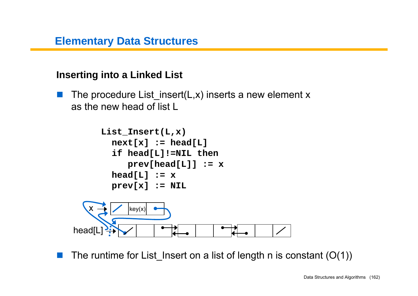#### **Inserting into a Linked List**

 $\sim 10$ The procedure List insert(L,x) inserts a new element x as the new head of list L



 $\mathcal{L}^{\text{max}}$ The runtime for List Insert on a list of length n is constant  $(O(1))$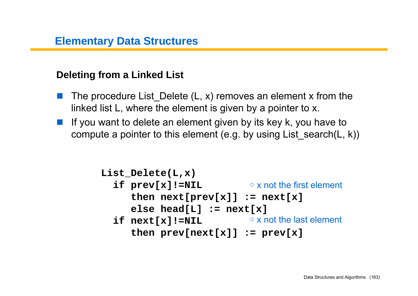## **Deleting from a Linked List**

- The procedure List Delete  $(L, x)$  removes an element x from the linked list L, where the element is given by a pointer to x.
- If you want to delete an element given by its key k, you have to compute a pointer to this element (e.g. by using List search(L, k))

```
List_Delete(L,x)
  if prev[x]!=NIL
⇨ x not the first element
     then next[prev[x]] := next[x]
     else head[L] := next[x]
  if next[x]!=NIL
⇨ x not the last elementthen prev[next[x]] := prev[x]
```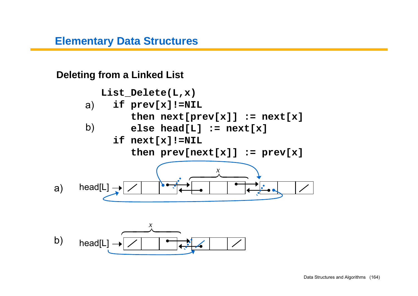**Deleting from a Linked List** 

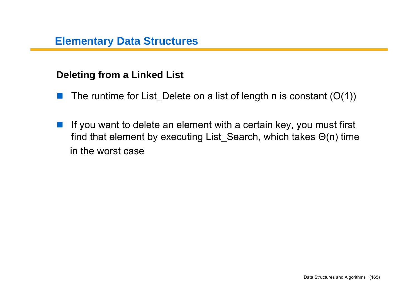#### **Deleting from a Linked List**

- $\mathbb{R}^n$ The runtime for List Delete on a list of length n is constant  $(O(1))$
- $\mathcal{L}^{\text{max}}$  If you want to delete an element with a certain key, you must first find that element by executing List\_Search, which takes Θ(n) time in the worst case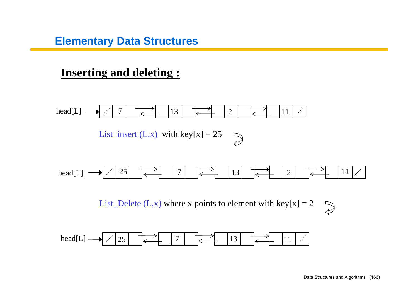# **Inserting and deleting :**

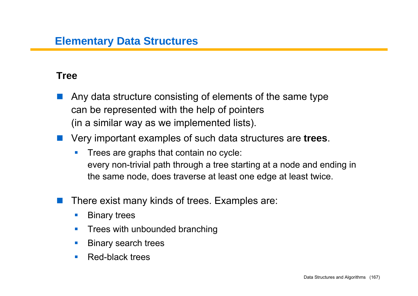#### **Tree**

- Any data structure consisting of elements of the same type can be represented with the help of pointers (in a similar way as we implemented lists).
- Very important examples of such data structures are **trees**.
	- **I**  Trees are graphs that contain no cycle: every non-trivial path through a tree starting at a node and ending in the same node, does traverse at least one edge at least twice.
	- There exist many kinds of trees. Examples are:
		- $\mathcal{L}_{\mathcal{A}}$ Binary trees
		- $\mathcal{L}_{\mathcal{A}}$ Trees with unbounded branching
		- F Binary search trees
		- $\mathcal{L}_{\mathcal{A}}$ Red-black trees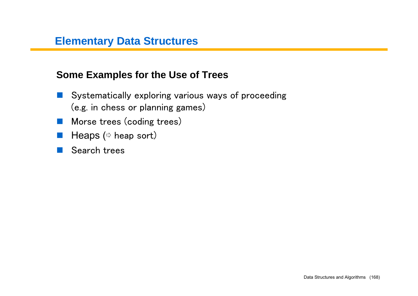#### **Some Examples for the Use of Trees**

- $\mathcal{L}^{\text{max}}$  Systematically exploring various ways of proceeding (e.g. in chess or planning games)
- **Morse trees (coding trees)**
- Heaps (☆ heap sort)
- Search trees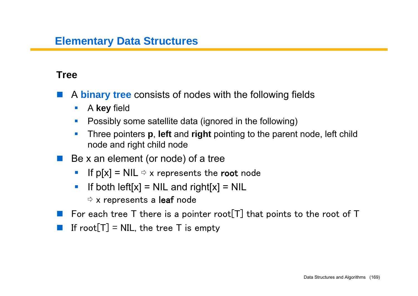#### **Tree**

- A **binary tree** consists of nodes with the following fields
	- $\mathcal{L}_{\mathcal{A}}$ A **key** field
	- $\mathcal{L}_{\mathcal{A}}$ Possibly some satellite data (ignored in the following)
	- **In**  Three pointers **p**, **left** and **right** pointing to the parent node, left child node and right child node
- Be x an element (or node) of a tree
	- $\overline{\phantom{a}}$ If  $p[x] = NIL \Rightarrow x$  represents the root node
	- $\mathcal{L}_{\mathcal{A}}$ If both  $\text{left}[x] = \text{NIL}$  and  $\text{right}[x] = \text{NIL}$ 
		- $\stackrel{\scriptscriptstyle{\triangleright}}{\scriptscriptstyle{\triangleright}}$  x represents a **leaf** node
- For each tree T there is a pointer root  $[T]$  that points to the root of T
- $\mathcal{L}^{\text{max}}_{\text{max}}$ If root $[T]$  = NIL, the tree T is empty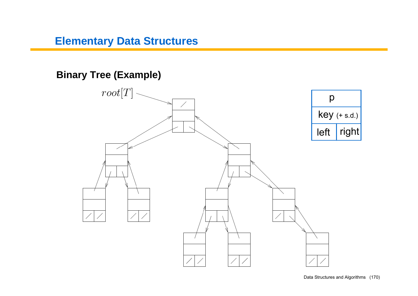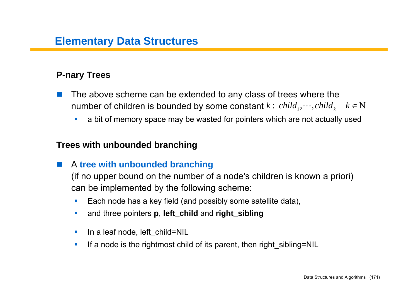#### **P-nary Trees**

- $\sim$  The above scheme can be extended to any class of trees where the number of children is bounded by some constant  $k: \, child_1, \cdots, child_k \quad \, k \in \mathrm{N}$ 
	- a bit of memory space may be wasted for pointers which are not actually used

#### **Trees with unbounded branching**

 $\mathcal{L}(\mathcal{A})$ A **tree with unbounded branching**

(if no upper bound on the number of a node's children is known a priori) can be implemented by the following scheme:

- $\mathcal{L}_{\mathcal{A}}$ Each node has a key field (and possibly some satellite data),
- $\mathcal{L}_{\mathcal{A}}$ and three pointers **p**, **left\_child** and **right\_sibling**
- $\mathcal{L}_{\mathcal{A}}$ In a leaf node, left\_child=NIL
- $\mathcal{C}_{\mathcal{A}}$ If a node is the rightmost child of its parent, then right\_sibling=NIL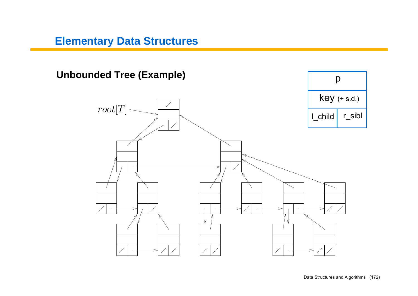